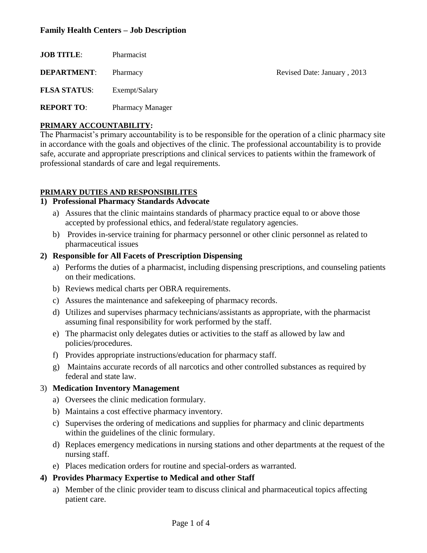# **Family Health Centers – Job Description**

| <b>JOB TITLE:</b>   | Pharmacist              |                             |
|---------------------|-------------------------|-----------------------------|
| <b>DEPARTMENT:</b>  | Pharmacy                | Revised Date: January, 2013 |
| <b>FLSA STATUS:</b> | Exempt/Salary           |                             |
| <b>REPORT TO:</b>   | <b>Pharmacy Manager</b> |                             |

# **PRIMARY ACCOUNTABILITY:**

The Pharmacist's primary accountability is to be responsible for the operation of a clinic pharmacy site in accordance with the goals and objectives of the clinic. The professional accountability is to provide safe, accurate and appropriate prescriptions and clinical services to patients within the framework of professional standards of care and legal requirements.

# **PRIMARY DUTIES AND RESPONSIBILITES**

# **1) Professional Pharmacy Standards Advocate**

- a) Assures that the clinic maintains standards of pharmacy practice equal to or above those accepted by professional ethics, and federal/state regulatory agencies.
- b) Provides in-service training for pharmacy personnel or other clinic personnel as related to pharmaceutical issues

# **2) Responsible for All Facets of Prescription Dispensing**

- a) Performs the duties of a pharmacist, including dispensing prescriptions, and counseling patients on their medications.
- b) Reviews medical charts per OBRA requirements.
- c) Assures the maintenance and safekeeping of pharmacy records.
- d) Utilizes and supervises pharmacy technicians/assistants as appropriate, with the pharmacist assuming final responsibility for work performed by the staff.
- e) The pharmacist only delegates duties or activities to the staff as allowed by law and policies/procedures.
- f) Provides appropriate instructions/education for pharmacy staff.
- g) Maintains accurate records of all narcotics and other controlled substances as required by federal and state law.

# 3) **Medication Inventory Management**

- a) Oversees the clinic medication formulary.
- b) Maintains a cost effective pharmacy inventory.
- c) Supervises the ordering of medications and supplies for pharmacy and clinic departments within the guidelines of the clinic formulary.
- d) Replaces emergency medications in nursing stations and other departments at the request of the nursing staff.
- e) Places medication orders for routine and special-orders as warranted.

# **4) Provides Pharmacy Expertise to Medical and other Staff**

a) Member of the clinic provider team to discuss clinical and pharmaceutical topics affecting patient care.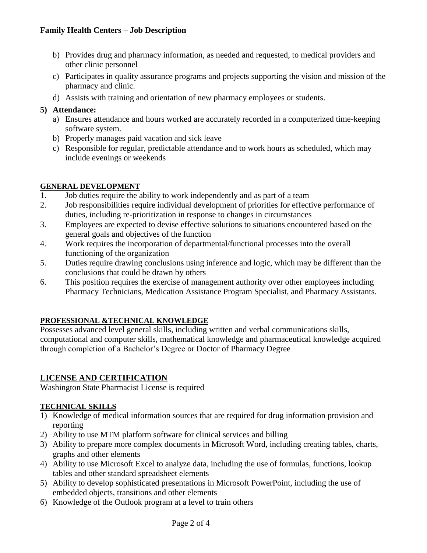- b) Provides drug and pharmacy information, as needed and requested, to medical providers and other clinic personnel
- c) Participates in quality assurance programs and projects supporting the vision and mission of the pharmacy and clinic.
- d) Assists with training and orientation of new pharmacy employees or students.

# **5) Attendance:**

- a) Ensures attendance and hours worked are accurately recorded in a computerized time-keeping software system.
- b) Properly manages paid vacation and sick leave
- c) Responsible for regular, predictable attendance and to work hours as scheduled, which may include evenings or weekends

# **GENERAL DEVELOPMENT**

- 1. Job duties require the ability to work independently and as part of a team
- 2. Job responsibilities require individual development of priorities for effective performance of duties, including re-prioritization in response to changes in circumstances
- 3. Employees are expected to devise effective solutions to situations encountered based on the general goals and objectives of the function
- 4. Work requires the incorporation of departmental/functional processes into the overall functioning of the organization
- 5. Duties require drawing conclusions using inference and logic, which may be different than the conclusions that could be drawn by others
- 6. This position requires the exercise of management authority over other employees including Pharmacy Technicians, Medication Assistance Program Specialist, and Pharmacy Assistants.

# **PROFESSIONAL &TECHNICAL KNOWLEDGE**

Possesses advanced level general skills, including written and verbal communications skills, computational and computer skills, mathematical knowledge and pharmaceutical knowledge acquired through completion of a Bachelor's Degree or Doctor of Pharmacy Degree

# **LICENSE AND CERTIFICATION**

Washington State Pharmacist License is required

# **TECHNICAL SKILLS**

- 1) Knowledge of medical information sources that are required for drug information provision and reporting
- 2) Ability to use MTM platform software for clinical services and billing
- 3) Ability to prepare more complex documents in Microsoft Word, including creating tables, charts, graphs and other elements
- 4) Ability to use Microsoft Excel to analyze data, including the use of formulas, functions, lookup tables and other standard spreadsheet elements
- 5) Ability to develop sophisticated presentations in Microsoft PowerPoint, including the use of embedded objects, transitions and other elements
- 6) Knowledge of the Outlook program at a level to train others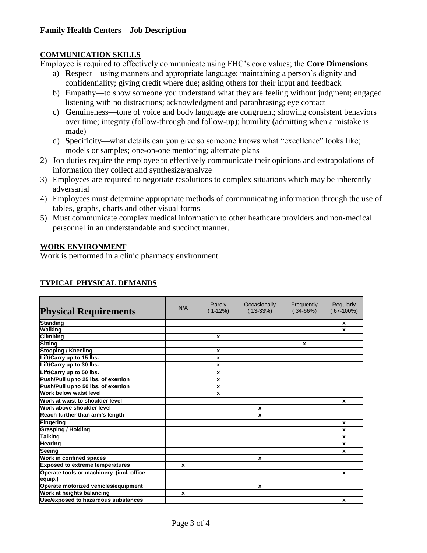#### **COMMUNICATION SKILLS**

Employee is required to effectively communicate using FHC's core values; the **Core Dimensions**

- a) **R**espect—using manners and appropriate language; maintaining a person's dignity and confidentiality; giving credit where due; asking others for their input and feedback
- b) **E**mpathy—to show someone you understand what they are feeling without judgment; engaged listening with no distractions; acknowledgment and paraphrasing; eye contact
- c) **G**enuineness—tone of voice and body language are congruent; showing consistent behaviors over time; integrity (follow-through and follow-up); humility (admitting when a mistake is made)
- d) **S**pecificity—what details can you give so someone knows what "excellence" looks like; models or samples; one-on-one mentoring; alternate plans
- 2) Job duties require the employee to effectively communicate their opinions and extrapolations of information they collect and synthesize/analyze
- 3) Employees are required to negotiate resolutions to complex situations which may be inherently adversarial
- 4) Employees must determine appropriate methods of communicating information through the use of tables, graphs, charts and other visual forms
- 5) Must communicate complex medical information to other heathcare providers and non-medical personnel in an understandable and succinct manner.

#### **WORK ENVIRONMENT**

Work is performed in a clinic pharmacy environment

| <b>Physical Requirements</b>                        | N/A | Rarely<br>$(1-12%)$ | Occasionally<br>$(13-33%)$ | Frequently<br>$(34-66%)$ | Regularly<br>67-100%) |
|-----------------------------------------------------|-----|---------------------|----------------------------|--------------------------|-----------------------|
| <b>Standing</b>                                     |     |                     |                            |                          | x                     |
| <b>Walking</b>                                      |     |                     |                            |                          | x                     |
| <b>Climbing</b>                                     |     | $\mathbf{x}$        |                            |                          |                       |
| <b>Sitting</b>                                      |     |                     |                            | $\mathbf{x}$             |                       |
| <b>Stooping / Kneeling</b>                          |     | $\mathbf{x}$        |                            |                          |                       |
| Lift/Carry up to 15 lbs.                            |     | $\mathbf{x}$        |                            |                          |                       |
| Lift/Carry up to 30 lbs.                            |     | $\mathbf{x}$        |                            |                          |                       |
| Lift/Carry up to 50 lbs.                            |     | $\mathbf{x}$        |                            |                          |                       |
| Push/Pull up to 25 lbs. of exertion                 |     | $\mathbf{x}$        |                            |                          |                       |
| Push/Pull up to 50 lbs. of exertion                 |     | $\boldsymbol{x}$    |                            |                          |                       |
| Work below waist level                              |     | $\mathbf{x}$        |                            |                          |                       |
| Work at waist to shoulder level                     |     |                     |                            |                          | x                     |
| Work above shoulder level                           |     |                     | x                          |                          |                       |
| Reach further than arm's length                     |     |                     | x                          |                          |                       |
| <b>Fingering</b>                                    |     |                     |                            |                          | $\mathbf{x}$          |
| <b>Grasping / Holding</b>                           |     |                     |                            |                          | x                     |
| <b>Talking</b>                                      |     |                     |                            |                          | x                     |
| Hearing                                             |     |                     |                            |                          | x                     |
| Seeing                                              |     |                     |                            |                          | x                     |
| Work in confined spaces                             |     |                     | x                          |                          |                       |
| <b>Exposed to extreme temperatures</b>              | x   |                     |                            |                          |                       |
| Operate tools or machinery (incl. office<br>equip.) |     |                     |                            |                          | $\mathbf x$           |
| Operate motorized vehicles/equipment                |     |                     | x                          |                          |                       |
| Work at heights balancing                           | x   |                     |                            |                          |                       |
| Use/exposed to hazardous substances                 |     |                     |                            |                          | x                     |

# **TYPICAL PHYSICAL DEMANDS**